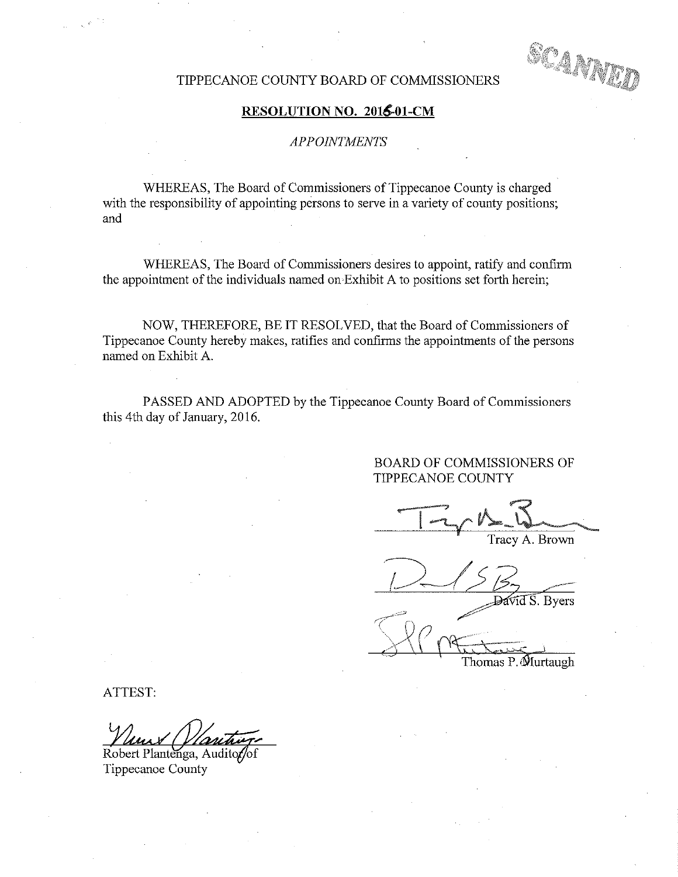TIPPECANOE COUNTY BOARD OF COMMISSIONERS

## RESOLUTION NO. 2016-01-CM

### APPOINTMENTS

WHEREAS, The Board of Commissioners of Tippecanoe County is charged with the responsibility of appointing persons to serve in a variety of county positions; and '

WHEREAS, The Board of Commissioners desires to appoint, ratify and confirm the appointment of the individuals named on Exhibit A to positions set forth herein;

NOW, THEREFORE, BE IT RESOLVED, that the Board of Commissioners of Tippecanoe County hereby makes, ratifies and confirms the appointments of the persons named on Exhibit A.

PASSED AND ADOPTED by the Tippecanoe County Board of Commissioners this 4th day of January, 2016.

> BOARD OF COMMISSIONERS OF TIPPECANOE COUNTY

Tracy A. Brown

 $12/53$ 

 $\sqrt{4dS}$ . Byers

 $\leftarrow$ Thomas P. Murtaugh

ATTEST:

J"

Robert Plantenga, Audito Tippecanoe County